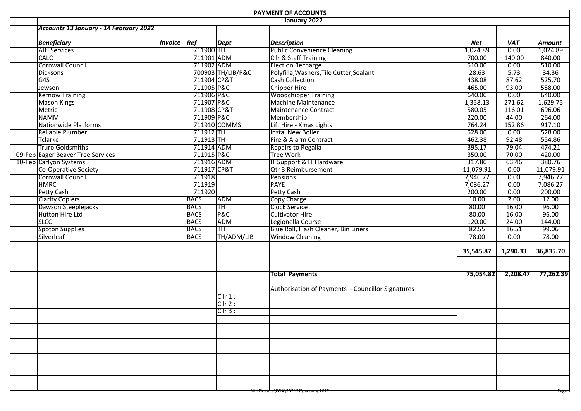|  |                                        |                    |                           |                   | <b>PAYMENT OF ACCOUNTS</b>                        |            |                   |                      |
|--|----------------------------------------|--------------------|---------------------------|-------------------|---------------------------------------------------|------------|-------------------|----------------------|
|  |                                        |                    |                           |                   | January 2022                                      |            |                   |                      |
|  | Accounts 13 January - 14 February 2022 |                    |                           |                   |                                                   |            |                   |                      |
|  |                                        |                    |                           |                   |                                                   |            |                   |                      |
|  | <b>Beneficiary</b>                     | <b>Invoice Ref</b> |                           | <b>Dept</b>       | <b>Description</b>                                | <b>Net</b> | <b>VAT</b>        | <b>Amount</b>        |
|  | <b>AJH Services</b>                    |                    | 711900 TH                 |                   | <b>Public Convenience Cleaning</b>                | 1,024.89   | $\overline{0.00}$ | $\frac{1}{0.024.89}$ |
|  | <b>CALC</b>                            |                    | 711901 ADM                |                   | <b>Cllr &amp; Staff Training</b>                  | 700.00     | 140.00            | 840.00               |
|  | <b>Cornwall Council</b>                |                    | 711902 ADM                |                   | <b>Election Recharge</b>                          | 510.00     | 0.00              | 510.00               |
|  | <b>Dicksons</b>                        |                    |                           | 700903 TH/LIB/P&C | Polyfilla, Washers, Tile Cutter, Sealant          | 28.63      | 5.73              | 34.36                |
|  | G4S                                    |                    | 711904 CP&T               |                   | <b>Cash Collection</b>                            | 438.08     | 87.62             | 525.70               |
|  | Jewson                                 |                    | 711905 P&C                |                   | <b>Chipper Hire</b>                               | 465.00     | 93.00             | 558.00               |
|  | <b>Kernow Training</b>                 |                    | 711906 P&C                |                   | <b>Woodchipper Training</b>                       | 640.00     | 0.00              | 640.00               |
|  | <b>Mason Kings</b>                     |                    | 711907 P&C                |                   | <b>Machine Maintenance</b>                        | 1,358.13   | 271.62            | 1,629.75             |
|  | Metric                                 |                    | 711908 CP&T<br>711909 P&C |                   | <b>Maintenance Contract</b>                       | 580.05     | 116.01            | 696.06               |
|  | <b>NAMM</b>                            |                    |                           |                   | Membership                                        | 220.00     | 44.00             | 264.00               |
|  | Nationwide Platforms                   |                    |                           | 711910 COMMS      | Lift Hire - Xmas Lights                           | 764.24     | 152.86            | 917.10               |
|  | Reliable Plumber                       |                    | $711912$ TH               |                   | <b>Instal New Bolier</b>                          | 528.00     | 0.00              | 528.00               |
|  | <b>Tclarke</b>                         |                    | $711913$ TH               |                   | Fire & Alarm Contract                             | 462.38     | 92.48             | 554.86               |
|  | <b>Truro Goldsmiths</b>                |                    | 711914 ADM                |                   | Repairs to Regalia                                | 395.17     | 79.04             | 474.21               |
|  | 09-Feb Eager Beaver Tree Services      |                    | 711915 P&C                |                   | <b>Tree Work</b>                                  | 350.00     | 70.00             | 420.00               |
|  | 10-Feb Carlyon Systems                 |                    | 711916 ADM                |                   | IT Support & IT Hardware                          | 317.80     | 63.46             | 380.76               |
|  | Co-Operative Society                   |                    | 711917 CP&T               |                   | Qtr 3 Reimbursement                               | 11,079.91  | 0.00              | 11,079.91            |
|  | Cornwall Council                       |                    | 711918                    |                   | <b>Pensions</b>                                   | 7,946.77   | 0.00              | 7,946.77             |
|  | <b>HMRC</b>                            |                    | 711919                    |                   | <b>PAYE</b>                                       | 7,086.27   | 0.00              | 7,086.27             |
|  | Petty Cash                             |                    | 711920                    |                   | <b>Petty Cash</b>                                 | 200.00     | 0.00              | 200.00               |
|  | <b>Clarity Copiers</b>                 |                    | <b>BACS</b>               | <b>ADM</b>        | <b>Copy Charge</b>                                | 10.00      | 2.00              | 12.00                |
|  | Dawson Steeplejacks                    |                    | <b>BACS</b>               | <b>TH</b>         | <b>Clock Service</b>                              | 80.00      | 16.00             | 96.00                |
|  | Hutton Hire Ltd                        |                    | <b>BACS</b>               | <b>P&amp;C</b>    | <b>Cultivator Hire</b>                            | 80.00      | 16.00             | 96.00                |
|  | <b>SLCC</b>                            |                    | <b>BACS</b>               | <b>ADM</b>        | Legionella Course                                 | 120.00     | 24.00             | 144.00               |
|  | Spoton Supplies                        |                    | <b>BACS</b>               | TH                | Blue Roll, Flash Cleaner, Bin Liners              | 82.55      | 16.51             | 99.06                |
|  | Silverleaf                             |                    | <b>BACS</b>               | TH/ADM/LIB        | <b>Window Cleaning</b>                            | 78.00      | 0.00              | 78.00                |
|  |                                        |                    |                           |                   |                                                   |            |                   |                      |
|  |                                        |                    |                           |                   |                                                   | 35,545.87  | 1,290.33          | 36,835.70            |
|  |                                        |                    |                           |                   |                                                   |            |                   |                      |
|  |                                        |                    |                           |                   | <b>Total Payments</b>                             | 75,054.82  | 2,208.47          | 77,262.39            |
|  |                                        |                    |                           |                   | Authorisation of Payments - Councillor Signatures |            |                   |                      |
|  |                                        |                    |                           | Cllr 1:           |                                                   |            |                   |                      |
|  |                                        |                    |                           | Clir 2:           |                                                   |            |                   |                      |
|  |                                        |                    |                           | $CIIr3$ :         |                                                   |            |                   |                      |
|  |                                        |                    |                           |                   |                                                   |            |                   |                      |
|  |                                        |                    |                           |                   |                                                   |            |                   |                      |
|  |                                        |                    |                           |                   |                                                   |            |                   |                      |
|  |                                        |                    |                           |                   |                                                   |            |                   |                      |
|  |                                        |                    |                           |                   |                                                   |            |                   |                      |
|  |                                        |                    |                           |                   |                                                   |            |                   |                      |
|  |                                        |                    |                           |                   |                                                   |            |                   |                      |
|  |                                        |                    |                           |                   |                                                   |            |                   |                      |
|  |                                        |                    |                           |                   |                                                   |            |                   |                      |
|  |                                        |                    |                           |                   |                                                   |            |                   |                      |
|  |                                        |                    |                           |                   | w:\Finance\POA\202122\January 2022                |            |                   | rage i               |